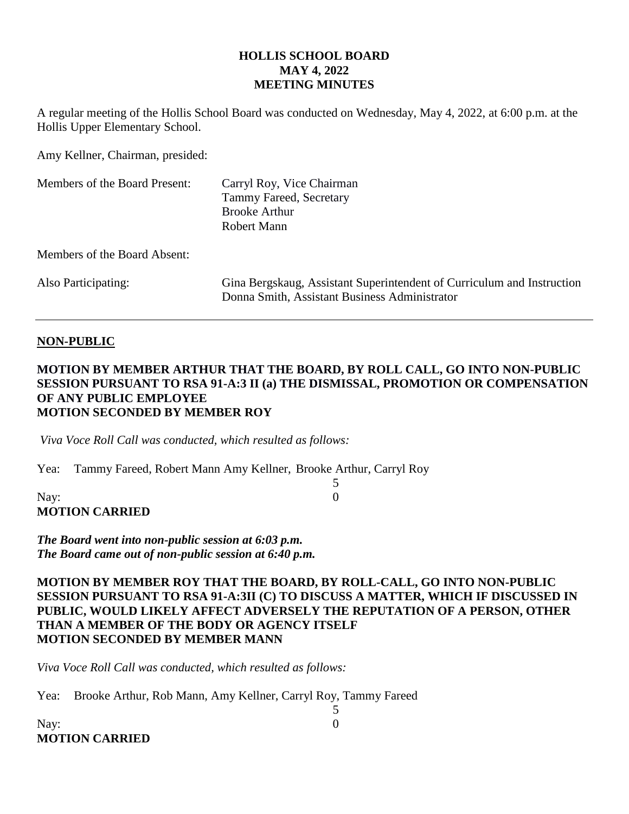#### **HOLLIS SCHOOL BOARD MAY 4, 2022 MEETING MINUTES**

A regular meeting of the Hollis School Board was conducted on Wednesday, May 4, 2022, at 6:00 p.m. at the Hollis Upper Elementary School.

Amy Kellner, Chairman, presided:

| Members of the Board Present: | Carryl Roy, Vice Chairman<br>Tammy Fareed, Secretary<br><b>Brooke Arthur</b><br>Robert Mann                             |
|-------------------------------|-------------------------------------------------------------------------------------------------------------------------|
| Members of the Board Absent:  |                                                                                                                         |
| Also Participating:           | Gina Bergskaug, Assistant Superintendent of Curriculum and Instruction<br>Donna Smith, Assistant Business Administrator |

#### **NON-PUBLIC**

#### **MOTION BY MEMBER ARTHUR THAT THE BOARD, BY ROLL CALL, GO INTO NON-PUBLIC SESSION PURSUANT TO RSA 91-A:3 II (a) THE DISMISSAL, PROMOTION OR COMPENSATION OF ANY PUBLIC EMPLOYEE MOTION SECONDED BY MEMBER ROY**

5

5

*Viva Voce Roll Call was conducted, which resulted as follows:*

Yea: Tammy Fareed, Robert Mann Amy Kellner, Brooke Arthur, Carryl Roy

## Nay: 0 **MOTION CARRIED**

*The Board went into non-public session at 6:03 p.m. The Board came out of non-public session at 6:40 p.m.*

#### **MOTION BY MEMBER ROY THAT THE BOARD, BY ROLL-CALL, GO INTO NON-PUBLIC SESSION PURSUANT TO RSA 91-A:3II (C) TO DISCUSS A MATTER, WHICH IF DISCUSSED IN PUBLIC, WOULD LIKELY AFFECT ADVERSELY THE REPUTATION OF A PERSON, OTHER THAN A MEMBER OF THE BODY OR AGENCY ITSELF MOTION SECONDED BY MEMBER MANN**

*Viva Voce Roll Call was conducted, which resulted as follows:*

Yea: Brooke Arthur, Rob Mann, Amy Kellner, Carryl Roy, Tammy Fareed

Nay: 0 **MOTION CARRIED**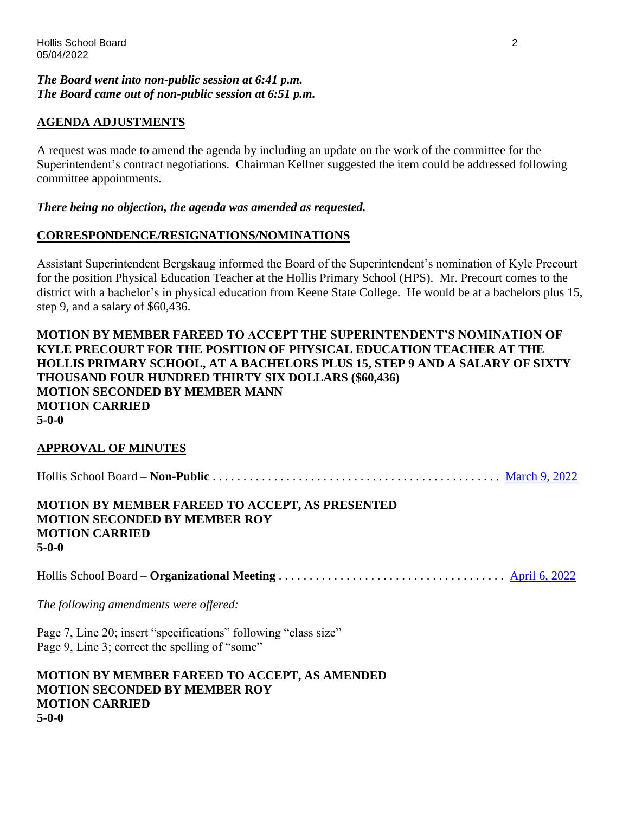#### *The Board went into non-public session at 6:41 p.m. The Board came out of non-public session at 6:51 p.m.*

## **AGENDA ADJUSTMENTS**

A request was made to amend the agenda by including an update on the work of the committee for the Superintendent's contract negotiations. Chairman Kellner suggested the item could be addressed following committee appointments.

#### *There being no objection, the agenda was amended as requested.*

## **CORRESPONDENCE/RESIGNATIONS/NOMINATIONS**

Assistant Superintendent Bergskaug informed the Board of the Superintendent's nomination of Kyle Precourt for the position Physical Education Teacher at the Hollis Primary School (HPS). Mr. Precourt comes to the district with a bachelor's in physical education from Keene State College. He would be at a bachelors plus 15, step 9, and a salary of \$60,436.

#### **MOTION BY MEMBER FAREED TO ACCEPT THE SUPERINTENDENT'S NOMINATION OF KYLE PRECOURT FOR THE POSITION OF PHYSICAL EDUCATION TEACHER AT THE HOLLIS PRIMARY SCHOOL, AT A BACHELORS PLUS 15, STEP 9 AND A SALARY OF SIXTY THOUSAND FOUR HUNDRED THIRTY SIX DOLLARS (\$60,436) MOTION SECONDED BY MEMBER MANN MOTION CARRIED 5-0-0**

## **APPROVAL OF MINUTES**

**MOTION CARRIED**

**5-0-0**

| <b>MOTION BY MEMBER FAREED TO ACCEPT, AS PRESENTED</b> |  |
|--------------------------------------------------------|--|
| <b>MOTION SECONDED BY MEMBER ROY</b>                   |  |

# Hollis School Board – **Organizational Meeting** . . . . . . . . . . . . . . . . . . . . . . . . . . . . . . . . . . . . . [April 6, 2022](https://www.sau41.org/docs/district/depts/108/4-6-22%20hsb%20minutes%20packet%20draft.pdf?id=3025)

*The following amendments were offered:*

Page 7, Line 20; insert "specifications" following "class size" Page 9, Line 3; correct the spelling of "some"

**MOTION BY MEMBER FAREED TO ACCEPT, AS AMENDED MOTION SECONDED BY MEMBER ROY MOTION CARRIED 5-0-0**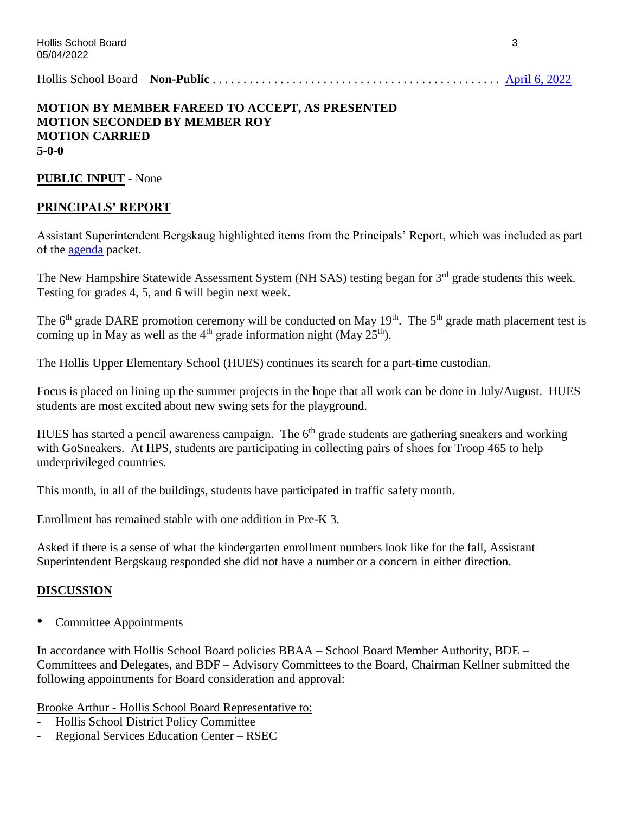Hollis School Board – **Non-Public** . . . . . . . . . . . . . . . . . . . . . . . . . . . . . . . . . . . . . . . . . . . . . . . [April 6, 2022](https://www.sau41.org/docs/district/depts/108/4-6-22%20np%20hsb%20mins%20draft.pdf?id=3041)

## **MOTION BY MEMBER FAREED TO ACCEPT, AS PRESENTED MOTION SECONDED BY MEMBER ROY MOTION CARRIED 5-0-0**

**PUBLIC INPUT** - None

## **PRINCIPALS' REPORT**

Assistant Superintendent Bergskaug highlighted items from the Principals' Report, which was included as part of the [agenda](https://www.sau41.org/docs/district/depts/108/hsb%20agenda%20packet%205-4-22.pdf?id=3072) packet.

The New Hampshire Statewide Assessment System (NH SAS) testing began for 3<sup>rd</sup> grade students this week. Testing for grades 4, 5, and 6 will begin next week.

The  $6<sup>th</sup>$  grade DARE promotion ceremony will be conducted on May 19<sup>th</sup>. The  $5<sup>th</sup>$  grade math placement test is coming up in May as well as the  $4<sup>th</sup>$  grade information night (May 25<sup>th</sup>).

The Hollis Upper Elementary School (HUES) continues its search for a part-time custodian.

Focus is placed on lining up the summer projects in the hope that all work can be done in July/August. HUES students are most excited about new swing sets for the playground.

HUES has started a pencil awareness campaign. The  $6<sup>th</sup>$  grade students are gathering sneakers and working with GoSneakers. At HPS, students are participating in collecting pairs of shoes for Troop 465 to help underprivileged countries.

This month, in all of the buildings, students have participated in traffic safety month.

Enrollment has remained stable with one addition in Pre-K 3.

Asked if there is a sense of what the kindergarten enrollment numbers look like for the fall, Assistant Superintendent Bergskaug responded she did not have a number or a concern in either direction.

## **DISCUSSION**

Committee Appointments

In accordance with Hollis School Board policies BBAA – School Board Member Authority, BDE – Committees and Delegates, and BDF – Advisory Committees to the Board, Chairman Kellner submitted the following appointments for Board consideration and approval:

Brooke Arthur - Hollis School Board Representative to:

- Hollis School District Policy Committee
- Regional Services Education Center RSEC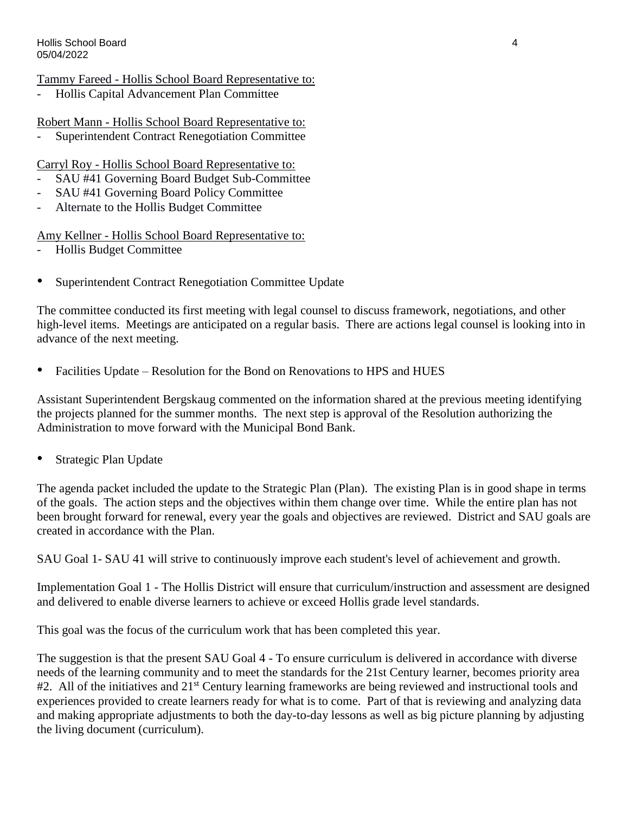## Tammy Fareed - Hollis School Board Representative to:

- Hollis Capital Advancement Plan Committee

## Robert Mann - Hollis School Board Representative to:

Superintendent Contract Renegotiation Committee

## Carryl Roy - Hollis School Board Representative to:

- SAU #41 Governing Board Budget Sub-Committee
- SAU #41 Governing Board Policy Committee
- Alternate to the Hollis Budget Committee

Amy Kellner - Hollis School Board Representative to:

- Hollis Budget Committee
- Superintendent Contract Renegotiation Committee Update

The committee conducted its first meeting with legal counsel to discuss framework, negotiations, and other high-level items. Meetings are anticipated on a regular basis. There are actions legal counsel is looking into in advance of the next meeting.

• Facilities Update – Resolution for the Bond on Renovations to HPS and HUES

Assistant Superintendent Bergskaug commented on the information shared at the previous meeting identifying the projects planned for the summer months. The next step is approval of the Resolution authorizing the Administration to move forward with the Municipal Bond Bank.

Strategic Plan Update

The agenda packet included the update to the Strategic Plan (Plan). The existing Plan is in good shape in terms of the goals. The action steps and the objectives within them change over time. While the entire plan has not been brought forward for renewal, every year the goals and objectives are reviewed. District and SAU goals are created in accordance with the Plan.

SAU Goal 1- SAU 41 will strive to continuously improve each student's level of achievement and growth.

Implementation Goal 1 - The Hollis District will ensure that curriculum/instruction and assessment are designed and delivered to enable diverse learners to achieve or exceed Hollis grade level standards.

This goal was the focus of the curriculum work that has been completed this year.

The suggestion is that the present SAU Goal 4 - To ensure curriculum is delivered in accordance with diverse needs of the learning community and to meet the standards for the 21st Century learner, becomes priority area #2. All of the initiatives and 21<sup>st</sup> Century learning frameworks are being reviewed and instructional tools and experiences provided to create learners ready for what is to come. Part of that is reviewing and analyzing data and making appropriate adjustments to both the day-to-day lessons as well as big picture planning by adjusting the living document (curriculum).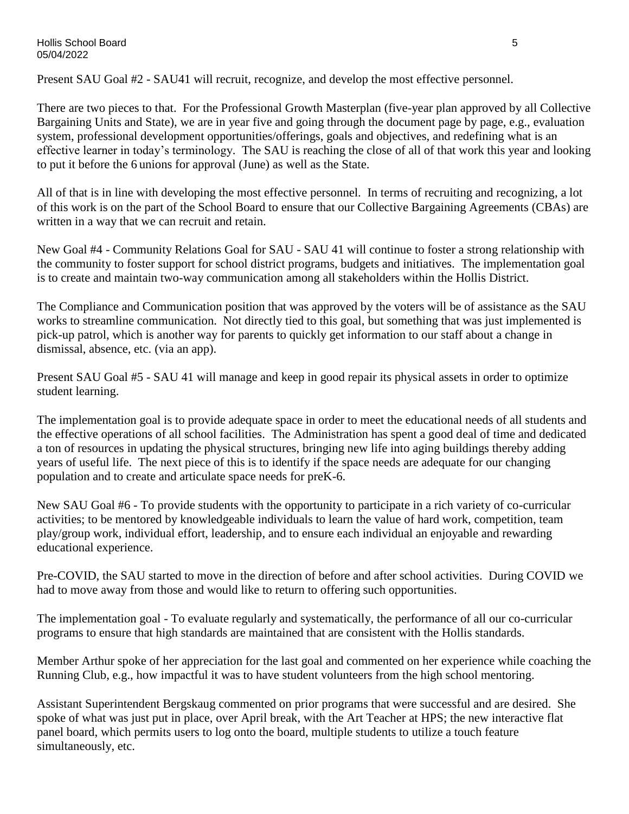#### Hollis School Board 5 05/04/2022

Present SAU Goal #2 - SAU41 will recruit, recognize, and develop the most effective personnel.

There are two pieces to that. For the Professional Growth Masterplan (five-year plan approved by all Collective Bargaining Units and State), we are in year five and going through the document page by page, e.g., evaluation system, professional development opportunities/offerings, goals and objectives, and redefining what is an effective learner in today's terminology. The SAU is reaching the close of all of that work this year and looking to put it before the 6 unions for approval (June) as well as the State.

All of that is in line with developing the most effective personnel. In terms of recruiting and recognizing, a lot of this work is on the part of the School Board to ensure that our Collective Bargaining Agreements (CBAs) are written in a way that we can recruit and retain.

New Goal #4 - Community Relations Goal for SAU - SAU 41 will continue to foster a strong relationship with the community to foster support for school district programs, budgets and initiatives. The implementation goal is to create and maintain two-way communication among all stakeholders within the Hollis District.

The Compliance and Communication position that was approved by the voters will be of assistance as the SAU works to streamline communication. Not directly tied to this goal, but something that was just implemented is pick-up patrol, which is another way for parents to quickly get information to our staff about a change in dismissal, absence, etc. (via an app).

Present SAU Goal #5 - SAU 41 will manage and keep in good repair its physical assets in order to optimize student learning.

The implementation goal is to provide adequate space in order to meet the educational needs of all students and the effective operations of all school facilities. The Administration has spent a good deal of time and dedicated a ton of resources in updating the physical structures, bringing new life into aging buildings thereby adding years of useful life. The next piece of this is to identify if the space needs are adequate for our changing population and to create and articulate space needs for preK-6.

New SAU Goal #6 - To provide students with the opportunity to participate in a rich variety of co-curricular activities; to be mentored by knowledgeable individuals to learn the value of hard work, competition, team play/group work, individual effort, leadership, and to ensure each individual an enjoyable and rewarding educational experience.

Pre-COVID, the SAU started to move in the direction of before and after school activities. During COVID we had to move away from those and would like to return to offering such opportunities.

The implementation goal - To evaluate regularly and systematically, the performance of all our co-curricular programs to ensure that high standards are maintained that are consistent with the Hollis standards.

Member Arthur spoke of her appreciation for the last goal and commented on her experience while coaching the Running Club, e.g., how impactful it was to have student volunteers from the high school mentoring.

Assistant Superintendent Bergskaug commented on prior programs that were successful and are desired. She spoke of what was just put in place, over April break, with the Art Teacher at HPS; the new interactive flat panel board, which permits users to log onto the board, multiple students to utilize a touch feature simultaneously, etc.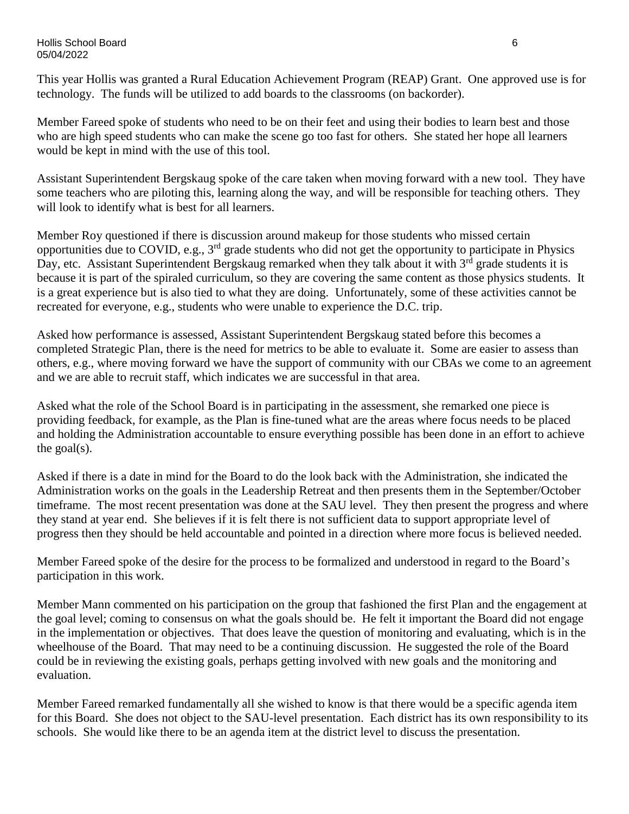#### Hollis School Board 6 05/04/2022

This year Hollis was granted a Rural Education Achievement Program (REAP) Grant. One approved use is for technology. The funds will be utilized to add boards to the classrooms (on backorder).

Member Fareed spoke of students who need to be on their feet and using their bodies to learn best and those who are high speed students who can make the scene go too fast for others. She stated her hope all learners would be kept in mind with the use of this tool.

Assistant Superintendent Bergskaug spoke of the care taken when moving forward with a new tool. They have some teachers who are piloting this, learning along the way, and will be responsible for teaching others. They will look to identify what is best for all learners.

Member Roy questioned if there is discussion around makeup for those students who missed certain opportunities due to COVID, e.g., 3rd grade students who did not get the opportunity to participate in Physics Day, etc. Assistant Superintendent Bergskaug remarked when they talk about it with 3<sup>rd</sup> grade students it is because it is part of the spiraled curriculum, so they are covering the same content as those physics students. It is a great experience but is also tied to what they are doing. Unfortunately, some of these activities cannot be recreated for everyone, e.g., students who were unable to experience the D.C. trip.

Asked how performance is assessed, Assistant Superintendent Bergskaug stated before this becomes a completed Strategic Plan, there is the need for metrics to be able to evaluate it. Some are easier to assess than others, e.g., where moving forward we have the support of community with our CBAs we come to an agreement and we are able to recruit staff, which indicates we are successful in that area.

Asked what the role of the School Board is in participating in the assessment, she remarked one piece is providing feedback, for example, as the Plan is fine-tuned what are the areas where focus needs to be placed and holding the Administration accountable to ensure everything possible has been done in an effort to achieve the goal $(s)$ .

Asked if there is a date in mind for the Board to do the look back with the Administration, she indicated the Administration works on the goals in the Leadership Retreat and then presents them in the September/October timeframe. The most recent presentation was done at the SAU level. They then present the progress and where they stand at year end. She believes if it is felt there is not sufficient data to support appropriate level of progress then they should be held accountable and pointed in a direction where more focus is believed needed.

Member Fareed spoke of the desire for the process to be formalized and understood in regard to the Board's participation in this work.

Member Mann commented on his participation on the group that fashioned the first Plan and the engagement at the goal level; coming to consensus on what the goals should be. He felt it important the Board did not engage in the implementation or objectives. That does leave the question of monitoring and evaluating, which is in the wheelhouse of the Board. That may need to be a continuing discussion. He suggested the role of the Board could be in reviewing the existing goals, perhaps getting involved with new goals and the monitoring and evaluation.

Member Fareed remarked fundamentally all she wished to know is that there would be a specific agenda item for this Board. She does not object to the SAU-level presentation. Each district has its own responsibility to its schools. She would like there to be an agenda item at the district level to discuss the presentation.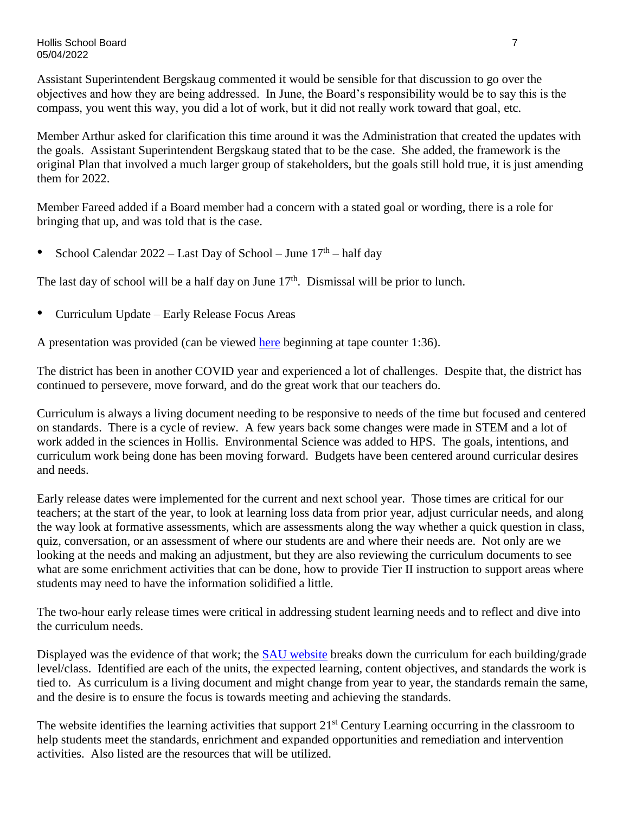Hollis School Board 7 05/04/2022

Assistant Superintendent Bergskaug commented it would be sensible for that discussion to go over the objectives and how they are being addressed. In June, the Board's responsibility would be to say this is the compass, you went this way, you did a lot of work, but it did not really work toward that goal, etc.

Member Arthur asked for clarification this time around it was the Administration that created the updates with the goals. Assistant Superintendent Bergskaug stated that to be the case. She added, the framework is the original Plan that involved a much larger group of stakeholders, but the goals still hold true, it is just amending them for 2022.

Member Fareed added if a Board member had a concern with a stated goal or wording, there is a role for bringing that up, and was told that is the case.

• School Calendar  $2022 -$  Last Day of School – June  $17<sup>th</sup>$  – half day

The last day of school will be a half day on June  $17<sup>th</sup>$ . Dismissal will be prior to lunch.

• Curriculum Update – Early Release Focus Areas

A presentation was provided (can be viewed [here](https://www.youtube.com/watch?v=l0RiFqivGC0) beginning at tape counter 1:36).

The district has been in another COVID year and experienced a lot of challenges. Despite that, the district has continued to persevere, move forward, and do the great work that our teachers do.

Curriculum is always a living document needing to be responsive to needs of the time but focused and centered on standards. There is a cycle of review. A few years back some changes were made in STEM and a lot of work added in the sciences in Hollis. Environmental Science was added to HPS. The goals, intentions, and curriculum work being done has been moving forward. Budgets have been centered around curricular desires and needs.

Early release dates were implemented for the current and next school year. Those times are critical for our teachers; at the start of the year, to look at learning loss data from prior year, adjust curricular needs, and along the way look at formative assessments, which are assessments along the way whether a quick question in class, quiz, conversation, or an assessment of where our students are and where their needs are. Not only are we looking at the needs and making an adjustment, but they are also reviewing the curriculum documents to see what are some enrichment activities that can be done, how to provide Tier II instruction to support areas where students may need to have the information solidified a little.

The two-hour early release times were critical in addressing student learning needs and to reflect and dive into the curriculum needs.

Displayed was the evidence of that work; the [SAU website](https://sites.google.com/sau41.org/sau41-curriculum-by-course/home) breaks down the curriculum for each building/grade level/class. Identified are each of the units, the expected learning, content objectives, and standards the work is tied to. As curriculum is a living document and might change from year to year, the standards remain the same, and the desire is to ensure the focus is towards meeting and achieving the standards.

The website identifies the learning activities that support 21<sup>st</sup> Century Learning occurring in the classroom to help students meet the standards, enrichment and expanded opportunities and remediation and intervention activities. Also listed are the resources that will be utilized.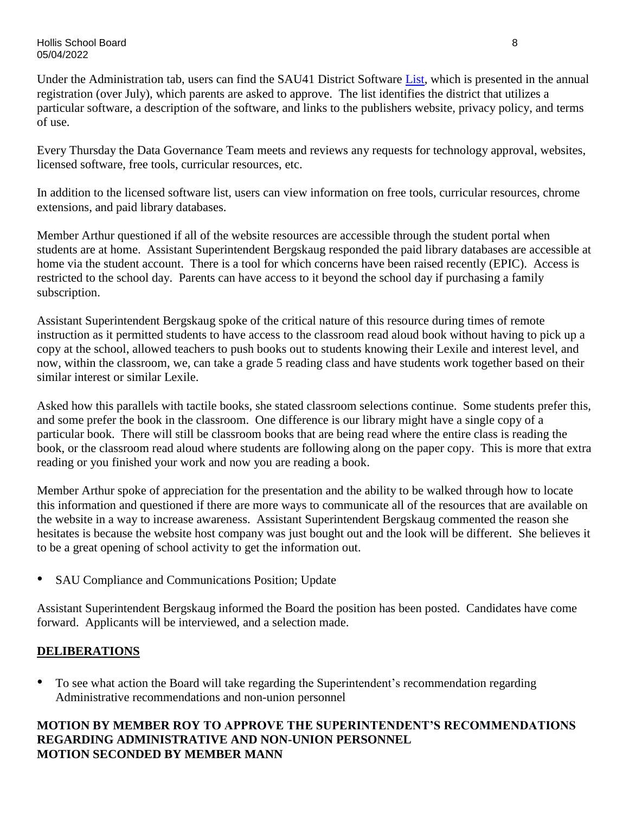Under the Administration tab, users can find the SAU41 District Software [List,](https://www.sau41.org/Content2/sau41-software-list) which is presented in the annual registration (over July), which parents are asked to approve. The list identifies the district that utilizes a particular software, a description of the software, and links to the publishers website, privacy policy, and terms of use.

Every Thursday the Data Governance Team meets and reviews any requests for technology approval, websites, licensed software, free tools, curricular resources, etc.

In addition to the licensed software list, users can view information on free tools, curricular resources, chrome extensions, and paid library databases.

Member Arthur questioned if all of the website resources are accessible through the student portal when students are at home. Assistant Superintendent Bergskaug responded the paid library databases are accessible at home via the student account. There is a tool for which concerns have been raised recently (EPIC). Access is restricted to the school day. Parents can have access to it beyond the school day if purchasing a family subscription.

Assistant Superintendent Bergskaug spoke of the critical nature of this resource during times of remote instruction as it permitted students to have access to the classroom read aloud book without having to pick up a copy at the school, allowed teachers to push books out to students knowing their Lexile and interest level, and now, within the classroom, we, can take a grade 5 reading class and have students work together based on their similar interest or similar Lexile.

Asked how this parallels with tactile books, she stated classroom selections continue. Some students prefer this, and some prefer the book in the classroom. One difference is our library might have a single copy of a particular book. There will still be classroom books that are being read where the entire class is reading the book, or the classroom read aloud where students are following along on the paper copy. This is more that extra reading or you finished your work and now you are reading a book.

Member Arthur spoke of appreciation for the presentation and the ability to be walked through how to locate this information and questioned if there are more ways to communicate all of the resources that are available on the website in a way to increase awareness. Assistant Superintendent Bergskaug commented the reason she hesitates is because the website host company was just bought out and the look will be different. She believes it to be a great opening of school activity to get the information out.

• SAU Compliance and Communications Position; Update

Assistant Superintendent Bergskaug informed the Board the position has been posted. Candidates have come forward. Applicants will be interviewed, and a selection made.

# **DELIBERATIONS**

• To see what action the Board will take regarding the Superintendent's recommendation regarding Administrative recommendations and non-union personnel

## **MOTION BY MEMBER ROY TO APPROVE THE SUPERINTENDENT'S RECOMMENDATIONS REGARDING ADMINISTRATIVE AND NON-UNION PERSONNEL MOTION SECONDED BY MEMBER MANN**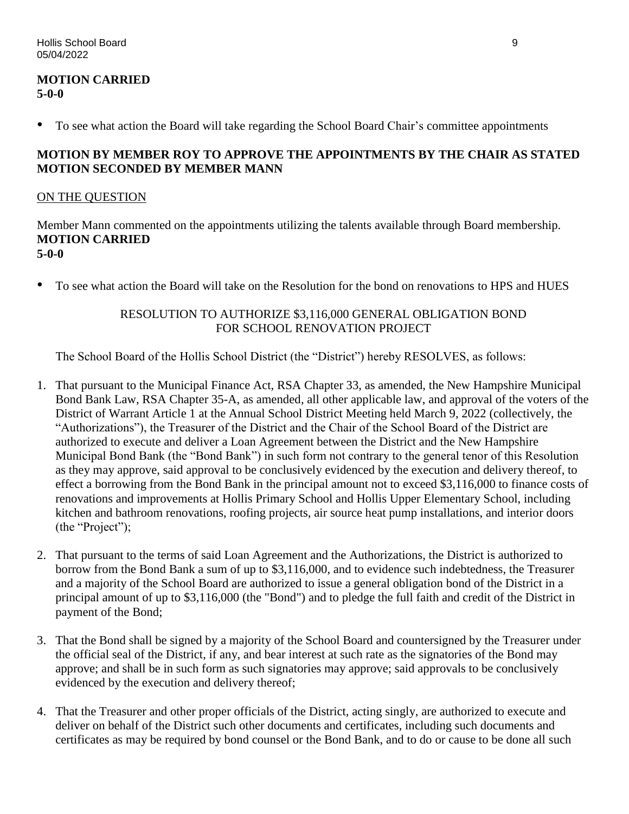#### **MOTION CARRIED 5-0-0**

• To see what action the Board will take regarding the School Board Chair's committee appointments

## **MOTION BY MEMBER ROY TO APPROVE THE APPOINTMENTS BY THE CHAIR AS STATED MOTION SECONDED BY MEMBER MANN**

## ON THE QUESTION

Member Mann commented on the appointments utilizing the talents available through Board membership. **MOTION CARRIED 5-0-0** 

• To see what action the Board will take on the Resolution for the bond on renovations to HPS and HUES

## RESOLUTION TO AUTHORIZE \$3,116,000 GENERAL OBLIGATION BOND FOR SCHOOL RENOVATION PROJECT

The School Board of the Hollis School District (the "District") hereby RESOLVES, as follows:

- 1. That pursuant to the Municipal Finance Act, RSA Chapter 33, as amended, the New Hampshire Municipal Bond Bank Law, RSA Chapter 35-A, as amended, all other applicable law, and approval of the voters of the District of Warrant Article 1 at the Annual School District Meeting held March 9, 2022 (collectively, the "Authorizations"), the Treasurer of the District and the Chair of the School Board of the District are authorized to execute and deliver a Loan Agreement between the District and the New Hampshire Municipal Bond Bank (the "Bond Bank") in such form not contrary to the general tenor of this Resolution as they may approve, said approval to be conclusively evidenced by the execution and delivery thereof, to effect a borrowing from the Bond Bank in the principal amount not to exceed \$3,116,000 to finance costs of renovations and improvements at Hollis Primary School and Hollis Upper Elementary School, including kitchen and bathroom renovations, roofing projects, air source heat pump installations, and interior doors (the "Project");
- 2. That pursuant to the terms of said Loan Agreement and the Authorizations, the District is authorized to borrow from the Bond Bank a sum of up to \$3,116,000, and to evidence such indebtedness, the Treasurer and a majority of the School Board are authorized to issue a general obligation bond of the District in a principal amount of up to \$3,116,000 (the "Bond") and to pledge the full faith and credit of the District in payment of the Bond;
- 3. That the Bond shall be signed by a majority of the School Board and countersigned by the Treasurer under the official seal of the District, if any, and bear interest at such rate as the signatories of the Bond may approve; and shall be in such form as such signatories may approve; said approvals to be conclusively evidenced by the execution and delivery thereof;
- 4. That the Treasurer and other proper officials of the District, acting singly, are authorized to execute and deliver on behalf of the District such other documents and certificates, including such documents and certificates as may be required by bond counsel or the Bond Bank, and to do or cause to be done all such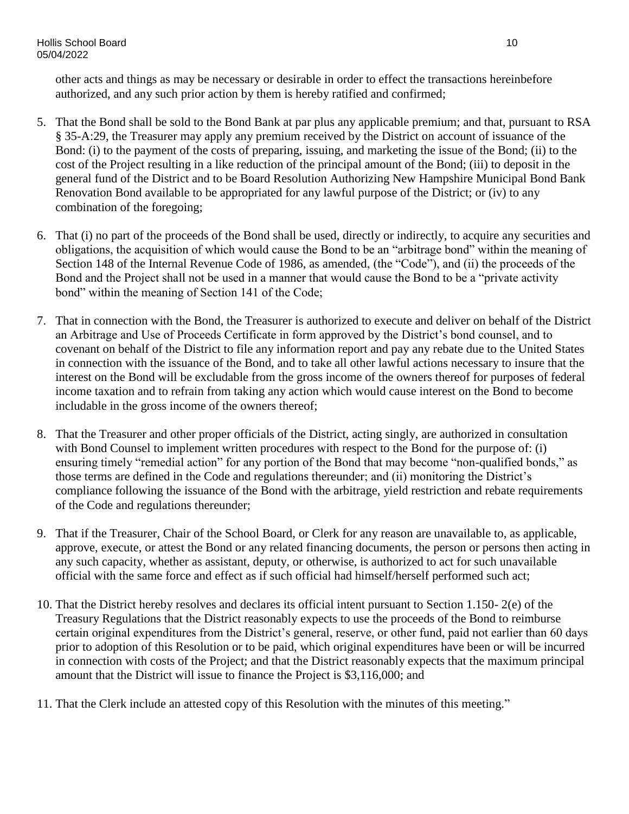other acts and things as may be necessary or desirable in order to effect the transactions hereinbefore authorized, and any such prior action by them is hereby ratified and confirmed;

- 5. That the Bond shall be sold to the Bond Bank at par plus any applicable premium; and that, pursuant to RSA § 35-A:29, the Treasurer may apply any premium received by the District on account of issuance of the Bond: (i) to the payment of the costs of preparing, issuing, and marketing the issue of the Bond; (ii) to the cost of the Project resulting in a like reduction of the principal amount of the Bond; (iii) to deposit in the general fund of the District and to be Board Resolution Authorizing New Hampshire Municipal Bond Bank Renovation Bond available to be appropriated for any lawful purpose of the District; or (iv) to any combination of the foregoing;
- 6. That (i) no part of the proceeds of the Bond shall be used, directly or indirectly, to acquire any securities and obligations, the acquisition of which would cause the Bond to be an "arbitrage bond" within the meaning of Section 148 of the Internal Revenue Code of 1986, as amended, (the "Code"), and (ii) the proceeds of the Bond and the Project shall not be used in a manner that would cause the Bond to be a "private activity bond" within the meaning of Section 141 of the Code;
- 7. That in connection with the Bond, the Treasurer is authorized to execute and deliver on behalf of the District an Arbitrage and Use of Proceeds Certificate in form approved by the District's bond counsel, and to covenant on behalf of the District to file any information report and pay any rebate due to the United States in connection with the issuance of the Bond, and to take all other lawful actions necessary to insure that the interest on the Bond will be excludable from the gross income of the owners thereof for purposes of federal income taxation and to refrain from taking any action which would cause interest on the Bond to become includable in the gross income of the owners thereof;
- 8. That the Treasurer and other proper officials of the District, acting singly, are authorized in consultation with Bond Counsel to implement written procedures with respect to the Bond for the purpose of: (i) ensuring timely "remedial action" for any portion of the Bond that may become "non-qualified bonds," as those terms are defined in the Code and regulations thereunder; and (ii) monitoring the District's compliance following the issuance of the Bond with the arbitrage, yield restriction and rebate requirements of the Code and regulations thereunder;
- 9. That if the Treasurer, Chair of the School Board, or Clerk for any reason are unavailable to, as applicable, approve, execute, or attest the Bond or any related financing documents, the person or persons then acting in any such capacity, whether as assistant, deputy, or otherwise, is authorized to act for such unavailable official with the same force and effect as if such official had himself/herself performed such act;
- 10. That the District hereby resolves and declares its official intent pursuant to Section 1.150- 2(e) of the Treasury Regulations that the District reasonably expects to use the proceeds of the Bond to reimburse certain original expenditures from the District's general, reserve, or other fund, paid not earlier than 60 days prior to adoption of this Resolution or to be paid, which original expenditures have been or will be incurred in connection with costs of the Project; and that the District reasonably expects that the maximum principal amount that the District will issue to finance the Project is \$3,116,000; and
- 11. That the Clerk include an attested copy of this Resolution with the minutes of this meeting."